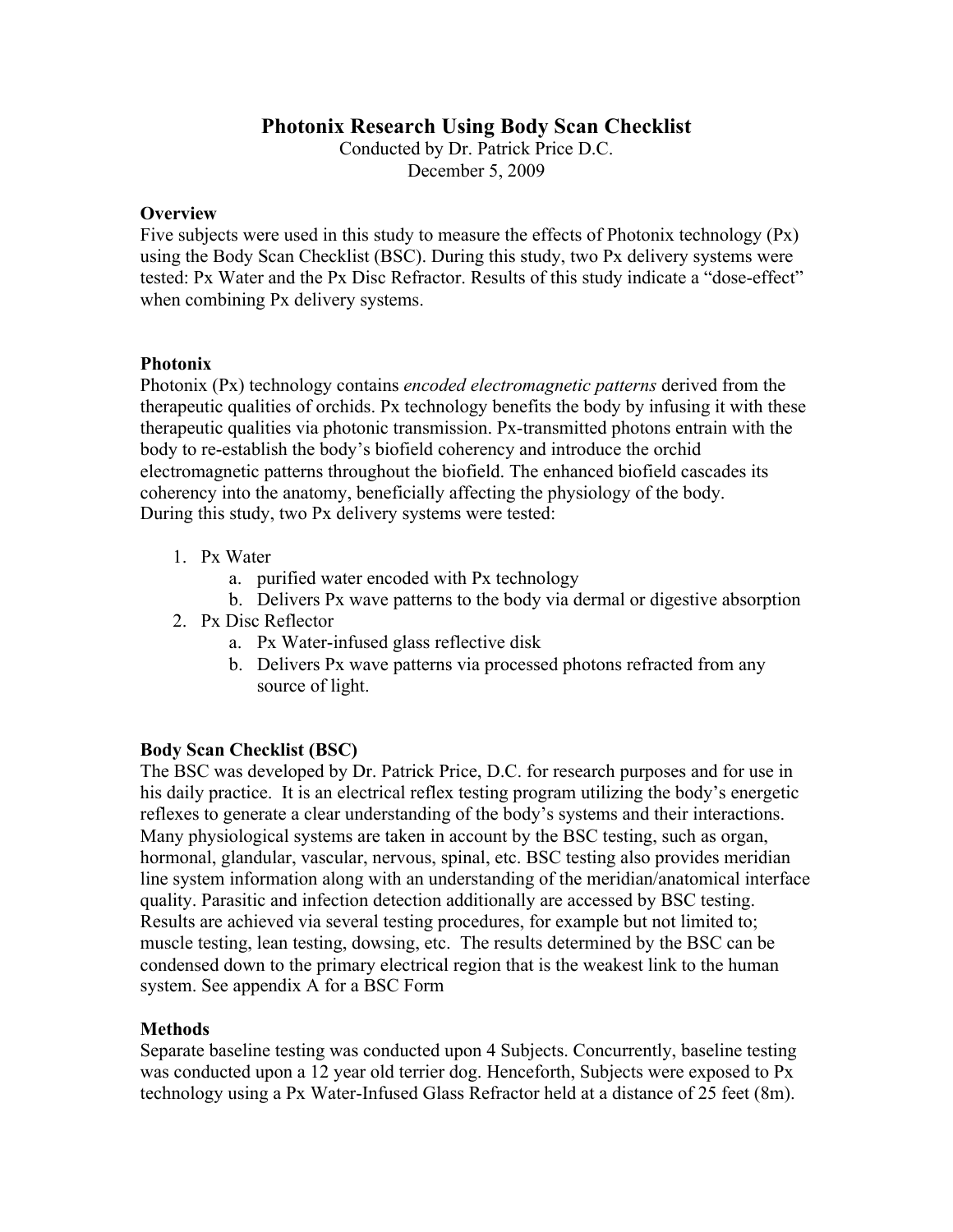# **Photonix Research Using Body Scan Checklist**

Conducted by Dr. Patrick Price D.C. December 5, 2009

### **Overview**

Five subjects were used in this study to measure the effects of Photonix technology (Px) using the Body Scan Checklist (BSC). During this study, two Px delivery systems were tested: Px Water and the Px Disc Refractor. Results of this study indicate a "dose-effect" when combining Px delivery systems.

### **Photonix**

Photonix (Px) technology contains *encoded electromagnetic patterns* derived from the therapeutic qualities of orchids. Px technology benefits the body by infusing it with these therapeutic qualities via photonic transmission. Px-transmitted photons entrain with the body to re-establish the body's biofield coherency and introduce the orchid electromagnetic patterns throughout the biofield. The enhanced biofield cascades its coherency into the anatomy, beneficially affecting the physiology of the body. During this study, two Px delivery systems were tested:

- 1. Px Water
	- a. purified water encoded with Px technology
	- b. Delivers Px wave patterns to the body via dermal or digestive absorption
- 2. Px Disc Reflector
	- a. Px Water-infused glass reflective disk
	- b. Delivers Px wave patterns via processed photons refracted from any source of light.

### **Body Scan Checklist (BSC)**

The BSC was developed by Dr. Patrick Price, D.C. for research purposes and for use in his daily practice. It is an electrical reflex testing program utilizing the body's energetic reflexes to generate a clear understanding of the body's systems and their interactions. Many physiological systems are taken in account by the BSC testing, such as organ, hormonal, glandular, vascular, nervous, spinal, etc. BSC testing also provides meridian line system information along with an understanding of the meridian/anatomical interface quality. Parasitic and infection detection additionally are accessed by BSC testing. Results are achieved via several testing procedures, for example but not limited to; muscle testing, lean testing, dowsing, etc. The results determined by the BSC can be condensed down to the primary electrical region that is the weakest link to the human system. See appendix A for a BSC Form

### **Methods**

Separate baseline testing was conducted upon 4 Subjects. Concurrently, baseline testing was conducted upon a 12 year old terrier dog. Henceforth, Subjects were exposed to Px technology using a Px Water-Infused Glass Refractor held at a distance of 25 feet (8m).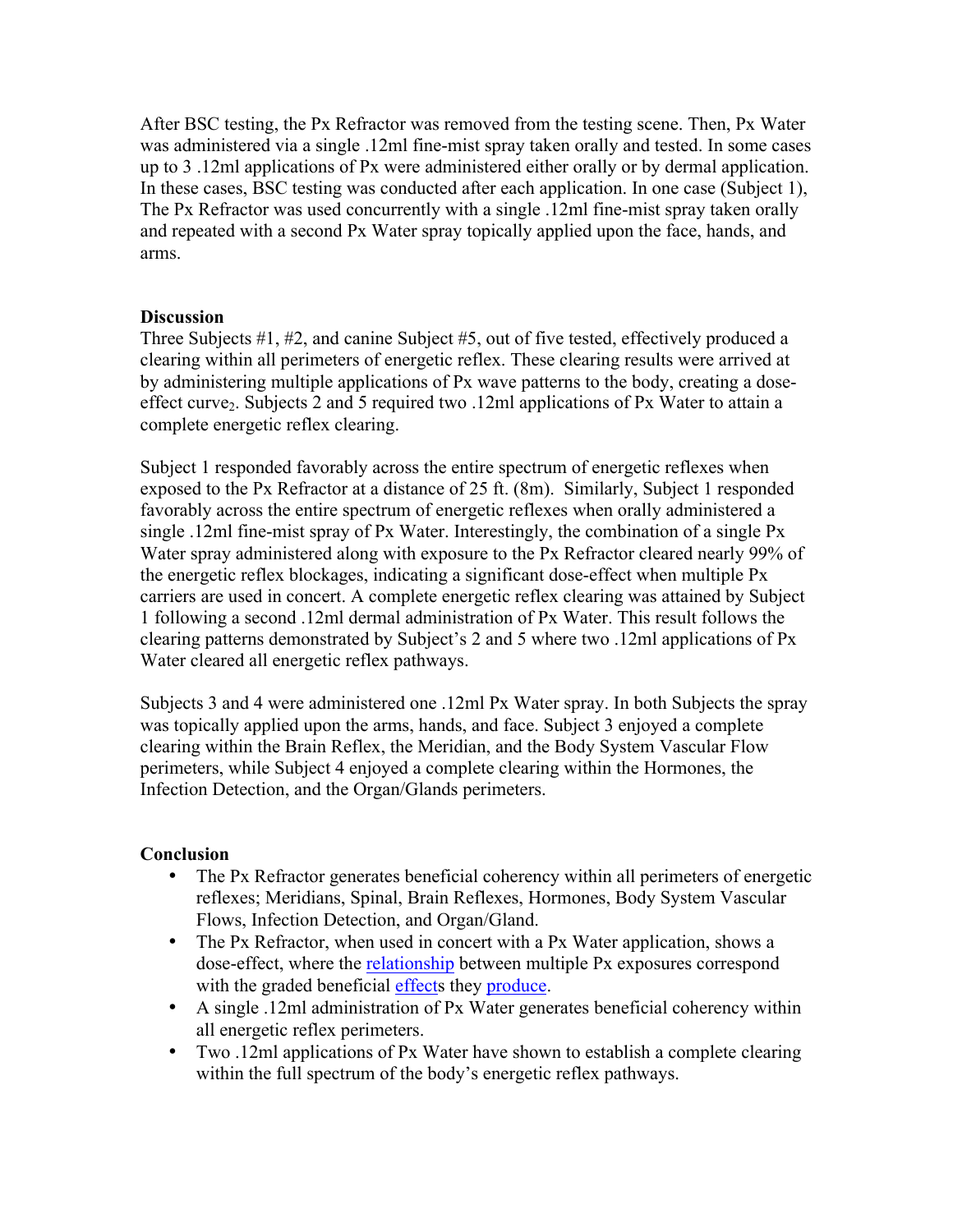After BSC testing, the Px Refractor was removed from the testing scene. Then, Px Water was administered via a single .12ml fine-mist spray taken orally and tested. In some cases up to 3 .12ml applications of Px were administered either orally or by dermal application. In these cases, BSC testing was conducted after each application. In one case (Subject 1), The Px Refractor was used concurrently with a single .12ml fine-mist spray taken orally and repeated with a second Px Water spray topically applied upon the face, hands, and arms.

### **Discussion**

Three Subjects #1, #2, and canine Subject #5, out of five tested, effectively produced a clearing within all perimeters of energetic reflex. These clearing results were arrived at by administering multiple applications of Px wave patterns to the body, creating a doseeffect curve<sub>2</sub>. Subjects 2 and 5 required two .12ml applications of Px Water to attain a complete energetic reflex clearing.

Subject 1 responded favorably across the entire spectrum of energetic reflexes when exposed to the Px Refractor at a distance of 25 ft. (8m). Similarly, Subject 1 responded favorably across the entire spectrum of energetic reflexes when orally administered a single .12ml fine-mist spray of Px Water. Interestingly, the combination of a single Px Water spray administered along with exposure to the Px Refractor cleared nearly 99% of the energetic reflex blockages, indicating a significant dose-effect when multiple Px carriers are used in concert. A complete energetic reflex clearing was attained by Subject 1 following a second .12ml dermal administration of Px Water. This result follows the clearing patterns demonstrated by Subject's 2 and 5 where two .12ml applications of Px Water cleared all energetic reflex pathways.

Subjects 3 and 4 were administered one .12ml Px Water spray. In both Subjects the spray was topically applied upon the arms, hands, and face. Subject 3 enjoyed a complete clearing within the Brain Reflex, the Meridian, and the Body System Vascular Flow perimeters, while Subject 4 enjoyed a complete clearing within the Hormones, the Infection Detection, and the Organ/Glands perimeters.

### **Conclusion**

- The Px Refractor generates beneficial coherency within all perimeters of energetic reflexes; Meridians, Spinal, Brain Reflexes, Hormones, Body System Vascular Flows, Infection Detection, and Organ/Gland.
- The Px Refractor, when used in concert with a Px Water application, shows a dose-effect, where the relationship between multiple Px exposures correspond with the graded beneficial effects they produce.
- A single .12ml administration of Px Water generates beneficial coherency within all energetic reflex perimeters.
- Two .12ml applications of Px Water have shown to establish a complete clearing within the full spectrum of the body's energetic reflex pathways.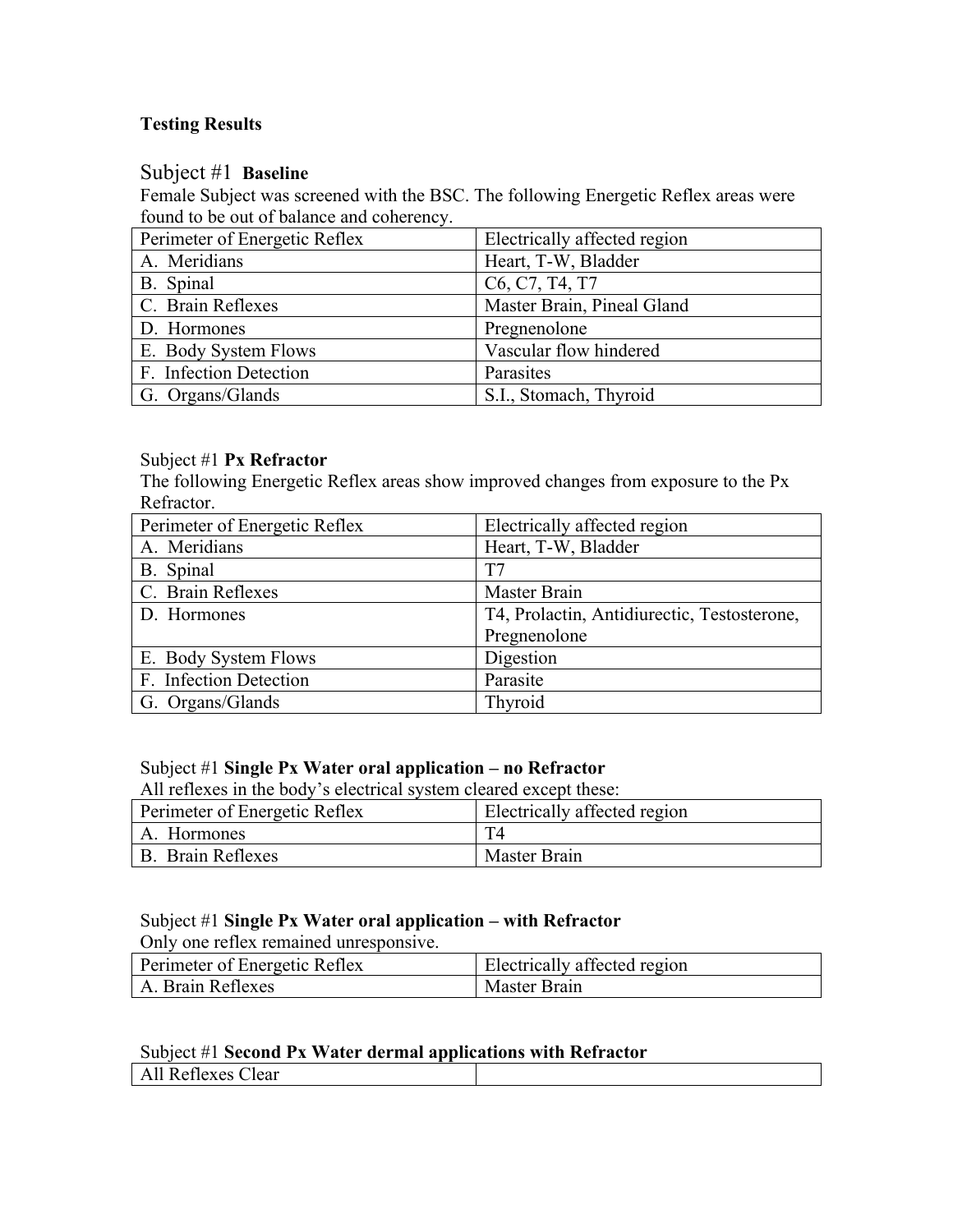# **Testing Results**

# Subject #1 **Baseline**

Female Subject was screened with the BSC. The following Energetic Reflex areas were found to be out of balance and coherency.

| Perimeter of Energetic Reflex | Electrically affected region                                      |
|-------------------------------|-------------------------------------------------------------------|
| A. Meridians                  | Heart, T-W, Bladder                                               |
| B. Spinal                     | C <sub>6</sub> , C <sub>7</sub> , T <sub>4</sub> , T <sub>7</sub> |
| C. Brain Reflexes             | Master Brain, Pineal Gland                                        |
| D. Hormones                   | Pregnenolone                                                      |
| E. Body System Flows          | Vascular flow hindered                                            |
| F. Infection Detection        | Parasites                                                         |
| G. Organs/Glands              | S.I., Stomach, Thyroid                                            |

# Subject #1 **Px Refractor**

The following Energetic Reflex areas show improved changes from exposure to the Px Refractor.

| Perimeter of Energetic Reflex | Electrically affected region                |
|-------------------------------|---------------------------------------------|
| A. Meridians                  | Heart, T-W, Bladder                         |
| B. Spinal                     | T7                                          |
| C. Brain Reflexes             | Master Brain                                |
| D. Hormones                   | T4, Prolactin, Antidiurectic, Testosterone, |
|                               | Pregnenolone                                |
| E. Body System Flows          | Digestion                                   |
| F. Infection Detection        | Parasite                                    |
| G. Organs/Glands              | Thyroid                                     |

# Subject #1 **Single Px Water oral application – no Refractor**

All reflexes in the body's electrical system cleared except these:

| Perimeter of Energetic Reflex | Electrically affected region |
|-------------------------------|------------------------------|
| A. Hormones                   |                              |
| B. Brain Reflexes             | Master Brain                 |

## Subject #1 **Single Px Water oral application – with Refractor**

Only one reflex remained unresponsive.

| Perimeter of Energetic Reflex | Electrically affected region |
|-------------------------------|------------------------------|
| A. Brain Reflexes             | <b>Master Brain</b>          |

### Subject #1 **Second Px Water dermal applications with Refractor**

| Clear<br>AII NUILLAUS |  |
|-----------------------|--|
|                       |  |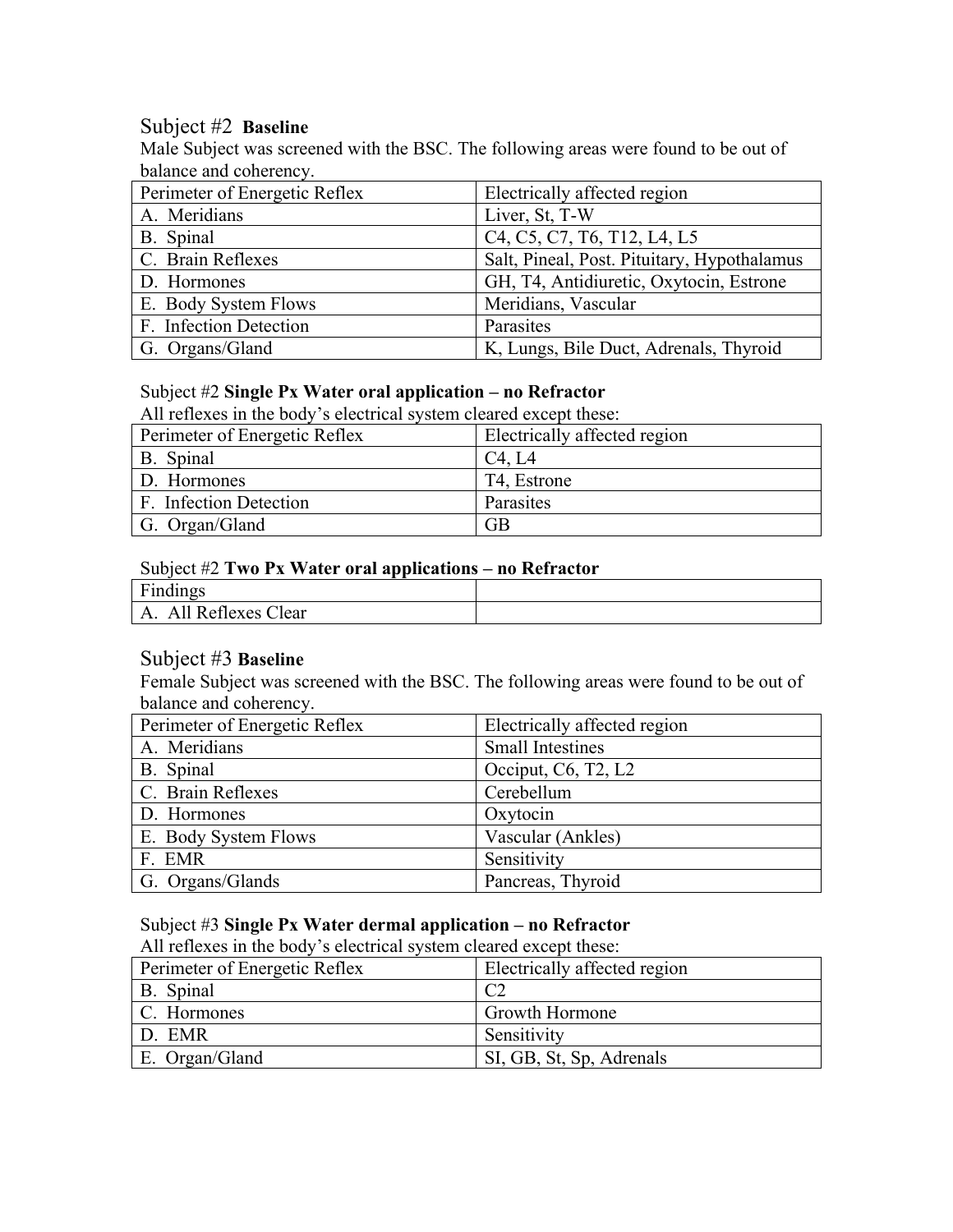# Subject #2 **Baseline**

Male Subject was screened with the BSC. The following areas were found to be out of balance and coherency.

| Perimeter of Energetic Reflex | Electrically affected region                                                                                          |
|-------------------------------|-----------------------------------------------------------------------------------------------------------------------|
| A. Meridians                  | Liver, St, T-W                                                                                                        |
| B. Spinal                     | C <sub>4</sub> , C <sub>5</sub> , C <sub>7</sub> , T <sub>6</sub> , T <sub>12</sub> , L <sub>4</sub> , L <sub>5</sub> |
| C. Brain Reflexes             | Salt, Pineal, Post. Pituitary, Hypothalamus                                                                           |
| D. Hormones                   | GH, T4, Antidiuretic, Oxytocin, Estrone                                                                               |
| E. Body System Flows          | Meridians, Vascular                                                                                                   |
| F. Infection Detection        | Parasites                                                                                                             |
| G. Organs/Gland               | K, Lungs, Bile Duct, Adrenals, Thyroid                                                                                |

### Subject #2 **Single Px Water oral application – no Refractor**

All reflexes in the body's electrical system cleared except these:

| Perimeter of Energetic Reflex | Electrically affected region |
|-------------------------------|------------------------------|
| B. Spinal                     | C4, L4                       |
| D. Hormones                   | T4, Estrone                  |
| F. Infection Detection        | Parasites                    |
| G. Organ/Gland                | GВ                           |

## Subject #2 **Two Px Water oral applications – no Refractor**

| Find<br>$\sim$ $\sim$<br>Findings                             |  |
|---------------------------------------------------------------|--|
| $\sim$<br>--<br>lear<br>$-Ah$<br>$\lambda$<br><b>RETIEXES</b> |  |

## Subject #3 **Baseline**

Female Subject was screened with the BSC. The following areas were found to be out of balance and coherency.

| Perimeter of Energetic Reflex | Electrically affected region                    |
|-------------------------------|-------------------------------------------------|
| A. Meridians                  | <b>Small Intestines</b>                         |
| B. Spinal                     | Occiput, $C6$ , T <sub>2</sub> , L <sub>2</sub> |
| C. Brain Reflexes             | Cerebellum                                      |
| D. Hormones                   | Oxytocin                                        |
| E. Body System Flows          | Vascular (Ankles)                               |
| F. EMR                        | Sensitivity                                     |
| G. Organs/Glands              | Pancreas, Thyroid                               |

### Subject #3 **Single Px Water dermal application – no Refractor**

All reflexes in the body's electrical system cleared except these:

| Perimeter of Energetic Reflex | Electrically affected region |
|-------------------------------|------------------------------|
| B. Spinal                     |                              |
| C. Hormones                   | Growth Hormone               |
| D. EMR                        | Sensitivity                  |
| E. Organ/Gland                | SI, GB, St, Sp, Adrenals     |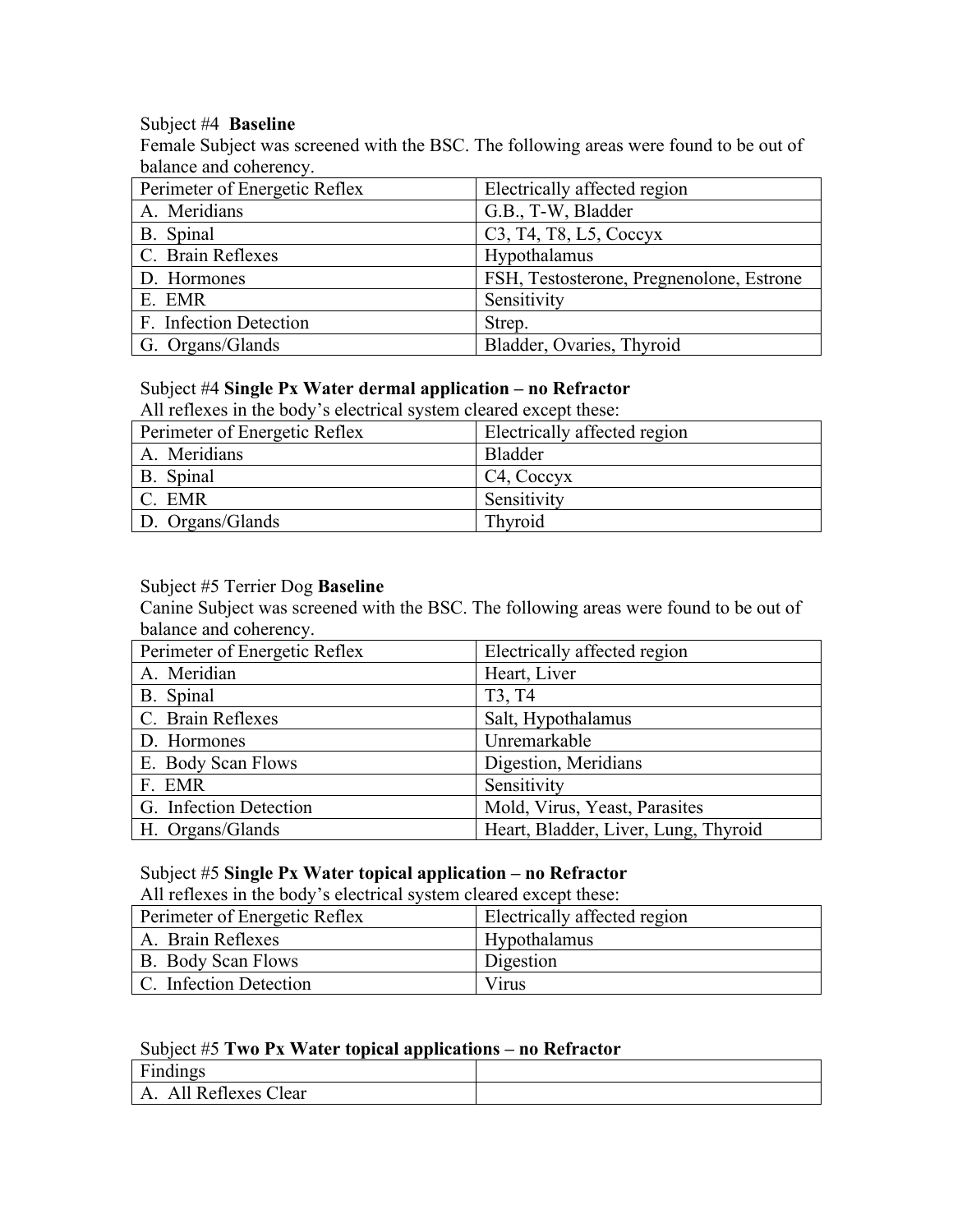#### Subject #4 **Baseline**

Female Subject was screened with the BSC. The following areas were found to be out of balance and coherency.

| Perimeter of Energetic Reflex | Electrically affected region                                                           |
|-------------------------------|----------------------------------------------------------------------------------------|
| A. Meridians                  | G.B., T-W, Bladder                                                                     |
| B. Spinal                     | C <sub>3</sub> , T <sub>4</sub> , T <sub>8</sub> , L <sub>5</sub> , C <sub>occyx</sub> |
| C. Brain Reflexes             | Hypothalamus                                                                           |
| D. Hormones                   | FSH, Testosterone, Pregnenolone, Estrone                                               |
| E. EMR                        | Sensitivity                                                                            |
| F. Infection Detection        | Strep.                                                                                 |
| G. Organs/Glands              | Bladder, Ovaries, Thyroid                                                              |

# Subject #4 **Single Px Water dermal application – no Refractor**

All reflexes in the body's electrical system cleared except these:

| Perimeter of Energetic Reflex | Electrically affected region |
|-------------------------------|------------------------------|
| A. Meridians                  | <b>Bladder</b>               |
| B. Spinal                     | C <sub>4</sub> , Coccyx      |
| C. EMR                        | Sensitivity                  |
| D. Organs/Glands              | Thyroid                      |

### Subject #5 Terrier Dog **Baseline**

Canine Subject was screened with the BSC. The following areas were found to be out of balance and coherency.

| Perimeter of Energetic Reflex | Electrically affected region         |
|-------------------------------|--------------------------------------|
| A. Meridian                   | Heart, Liver                         |
| B. Spinal                     | T <sub>3</sub> , T <sub>4</sub>      |
| C. Brain Reflexes             | Salt, Hypothalamus                   |
| D. Hormones                   | Unremarkable                         |
| E. Body Scan Flows            | Digestion, Meridians                 |
| F. EMR                        | Sensitivity                          |
| G. Infection Detection        | Mold, Virus, Yeast, Parasites        |
| H. Organs/Glands              | Heart, Bladder, Liver, Lung, Thyroid |

# Subject #5 **Single Px Water topical application – no Refractor**

All reflexes in the body's electrical system cleared except these:

| Perimeter of Energetic Reflex | Electrically affected region |
|-------------------------------|------------------------------|
| A. Brain Reflexes             | <b>Hypothalamus</b>          |
| B. Body Scan Flows            | Digestion                    |
| C. Infection Detection        | Virus                        |

## Subject #5 **Two Px Water topical applications – no Refractor**

| $\mathbf{r}$<br>$\rightarrow$<br><b>Findings</b><br>H11 |  |
|---------------------------------------------------------|--|
| Ali<br>Reflexes Clear<br>$\mathbf{A}$<br>.              |  |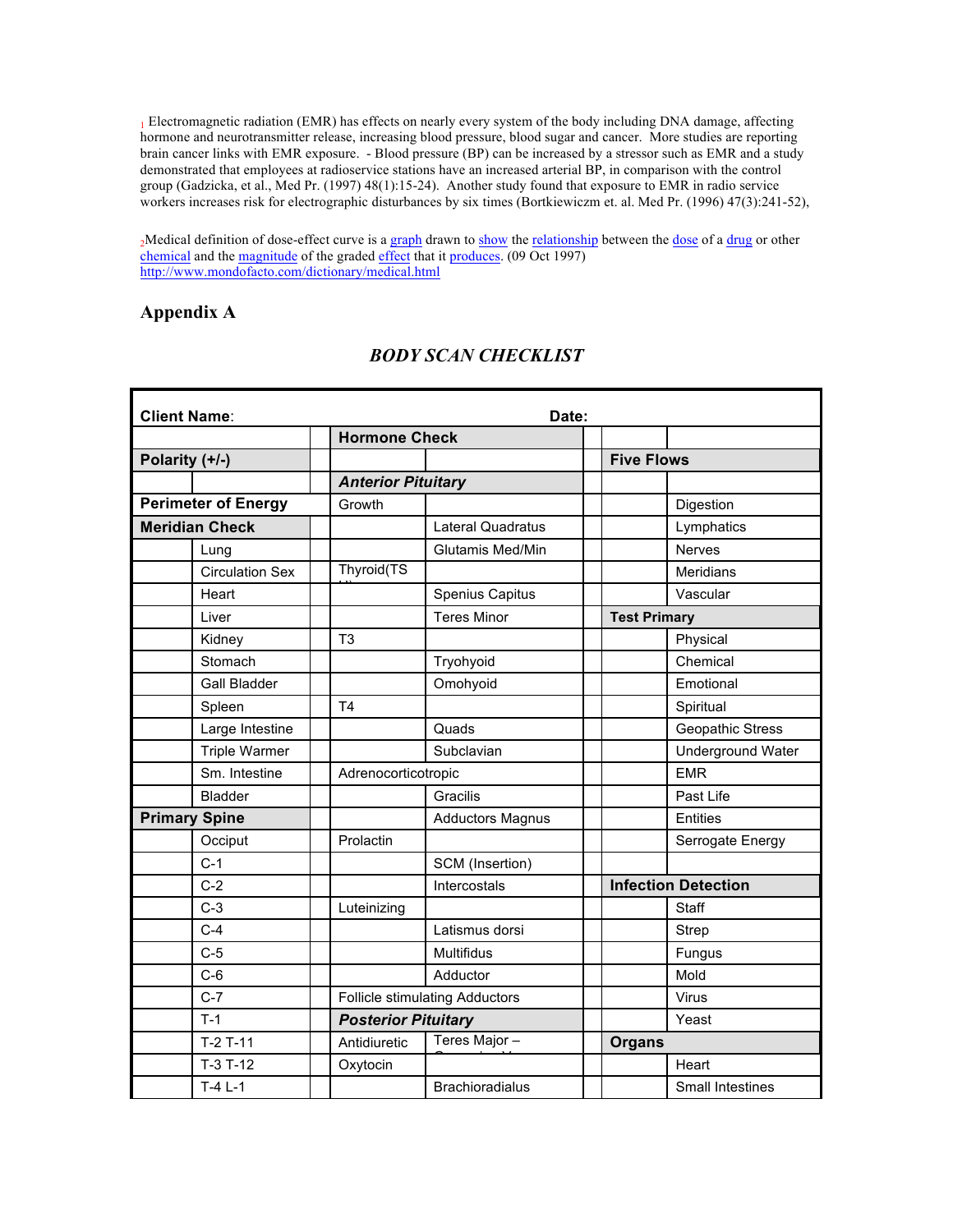<sup>1</sup> Electromagnetic radiation (EMR) has effects on nearly every system of the body including DNA damage, affecting hormone and neurotransmitter release, increasing blood pressure, blood sugar and cancer. More studies are reporting brain cancer links with EMR exposure. - Blood pressure (BP) can be increased by a stressor such as EMR and a study demonstrated that employees at radioservice stations have an increased arterial BP, in comparison with the control group (Gadzicka, et al., Med Pr. (1997) 48(1):15-24). Another study found that exposure to EMR in radio service workers increases risk for electrographic disturbances by six times (Bortkiewiczm et. al. Med Pr. (1996) 47(3):241-52),

2Medical definition of dose-effect curve is a graph drawn to show the relationship between the dose of a drug or other chemical and the magnitude of the graded effect that it produces. (09 Oct 1997) http://www.mondofacto.com/dictionary/medical.html

### **Appendix A**

| <b>Client Name:</b><br>Date: |                |                                       |  |                            |                          |  |
|------------------------------|----------------|---------------------------------------|--|----------------------------|--------------------------|--|
|                              |                | <b>Hormone Check</b>                  |  |                            |                          |  |
| Polarity (+/-)               |                |                                       |  | <b>Five Flows</b>          |                          |  |
|                              |                | <b>Anterior Pituitary</b>             |  |                            |                          |  |
| <b>Perimeter of Energy</b>   | Growth         |                                       |  |                            | Digestion                |  |
| <b>Meridian Check</b>        |                | <b>Lateral Quadratus</b>              |  |                            | Lymphatics               |  |
| Lung                         |                | Glutamis Med/Min                      |  |                            | Nerves                   |  |
| <b>Circulation Sex</b>       | Thyroid(TS     |                                       |  |                            | Meridians                |  |
| Heart                        |                | Spenius Capitus                       |  |                            | Vascular                 |  |
| Liver                        |                | <b>Teres Minor</b>                    |  | <b>Test Primary</b>        |                          |  |
| Kidney                       | T <sub>3</sub> |                                       |  |                            | Physical                 |  |
| Stomach                      |                | Tryohyoid                             |  |                            | Chemical                 |  |
| <b>Gall Bladder</b>          |                | Omohyoid                              |  |                            | Emotional                |  |
| Spleen                       | T <sub>4</sub> |                                       |  |                            | Spiritual                |  |
| Large Intestine              |                | Quads                                 |  |                            | Geopathic Stress         |  |
| Triple Warmer                |                | Subclavian                            |  |                            | <b>Underground Water</b> |  |
| Sm. Intestine                |                | Adrenocorticotropic                   |  |                            | <b>EMR</b>               |  |
| <b>Bladder</b>               |                | Gracilis                              |  |                            | Past Life                |  |
| <b>Primary Spine</b>         |                | <b>Adductors Magnus</b>               |  |                            | <b>Entities</b>          |  |
| Occiput                      | Prolactin      |                                       |  |                            | Serrogate Energy         |  |
| $C-1$                        |                | SCM (Insertion)                       |  |                            |                          |  |
| $C-2$                        |                | Intercostals                          |  | <b>Infection Detection</b> |                          |  |
| $C-3$                        | Luteinizing    |                                       |  |                            | Staff                    |  |
| $C-4$                        |                | Latismus dorsi                        |  |                            | Strep                    |  |
| $C-5$                        |                | Multifidus                            |  |                            | Fungus                   |  |
| $C-6$                        |                | Adductor                              |  |                            | Mold                     |  |
| $C-7$                        |                | <b>Follicle stimulating Adductors</b> |  |                            | Virus                    |  |
| $T-1$                        |                | <b>Posterior Pituitary</b>            |  |                            | Yeast                    |  |
| $T-2T-11$                    | Antidiuretic   | Teres Major -                         |  | <b>Organs</b>              |                          |  |
| $T-3T-12$                    | Oxytocin       |                                       |  |                            | Heart                    |  |
| $T-4$ L-1                    |                | <b>Brachioradialus</b>                |  |                            | Small Intestines         |  |

# *BODY SCAN CHECKLIST*